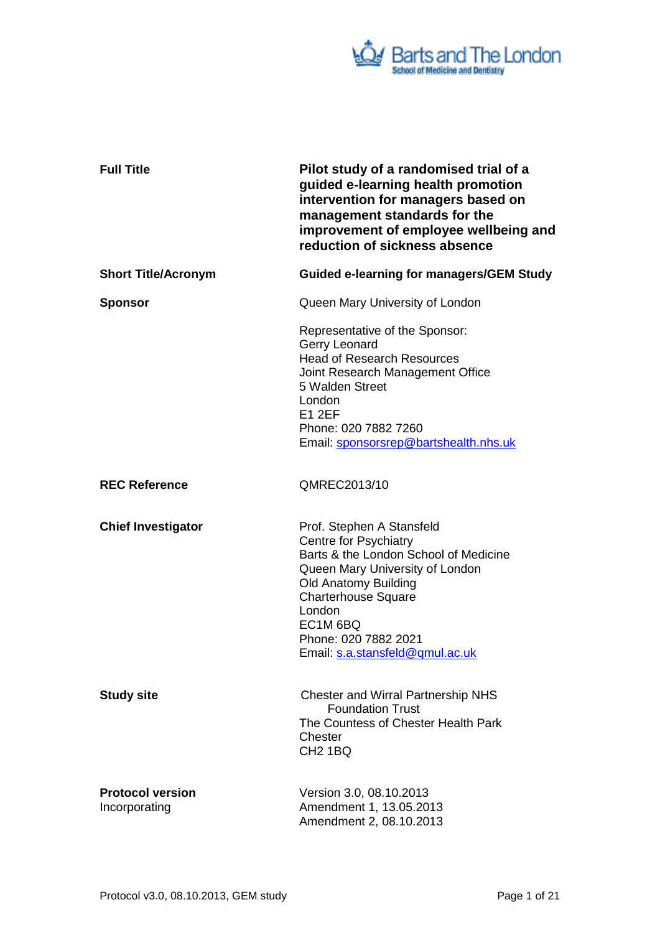

| <b>Full Title</b>                        | Pilot study of a randomised trial of a<br>guided e-learning health promotion<br>intervention for managers based on<br>management standards for the<br>improvement of employee wellbeing and<br>reduction of sickness absence                                                        |
|------------------------------------------|-------------------------------------------------------------------------------------------------------------------------------------------------------------------------------------------------------------------------------------------------------------------------------------|
| <b>Short Title/Acronym</b>               | <b>Guided e-learning for managers/GEM Study</b>                                                                                                                                                                                                                                     |
| <b>Sponsor</b>                           | Queen Mary University of London                                                                                                                                                                                                                                                     |
|                                          | Representative of the Sponsor:<br>Gerry Leonard<br><b>Head of Research Resources</b><br>Joint Research Management Office<br>5 Walden Street<br>London<br><b>E1 2EF</b><br>Phone: 020 7882 7260<br>Email: sponsorsrep@bartshealth.nhs.uk                                             |
| <b>REC Reference</b>                     | QMREC2013/10                                                                                                                                                                                                                                                                        |
| <b>Chief Investigator</b>                | Prof. Stephen A Stansfeld<br><b>Centre for Psychiatry</b><br>Barts & the London School of Medicine<br>Queen Mary University of London<br><b>Old Anatomy Building</b><br><b>Charterhouse Square</b><br>London<br>EC1M 6BQ<br>Phone: 020 7882 2021<br>Email: s.a.stansfeld@qmul.ac.uk |
| <b>Study site</b>                        | <b>Chester and Wirral Partnership NHS</b><br><b>Foundation Trust</b><br>The Countess of Chester Health Park<br>Chester<br>CH <sub>2</sub> 1BQ                                                                                                                                       |
| <b>Protocol version</b><br>Incorporating | Version 3.0, 08.10.2013<br>Amendment 1, 13.05.2013<br>Amendment 2, 08.10.2013                                                                                                                                                                                                       |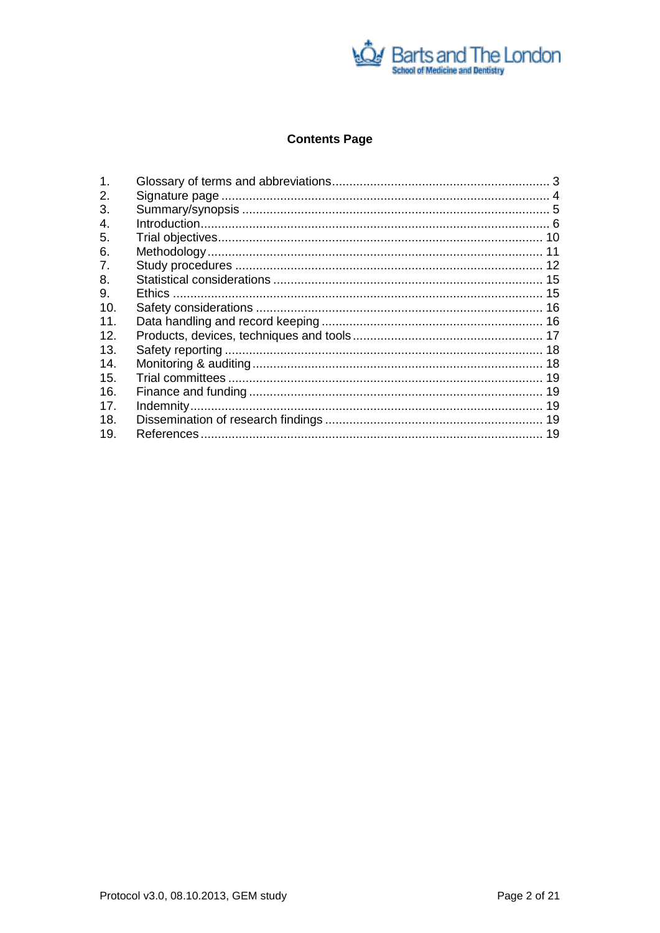

# **Contents Page**

| $\mathbf{1}$    |  |
|-----------------|--|
| 2.              |  |
| 3.              |  |
| 4.              |  |
| 5.              |  |
| 6.              |  |
| 7.              |  |
| 8.              |  |
| 9.              |  |
| 10.             |  |
| 11 <sub>1</sub> |  |
| 12.             |  |
| 13.             |  |
| 14.             |  |
| 15.             |  |
| 16.             |  |
| 17.             |  |
| 18.             |  |
| 19.             |  |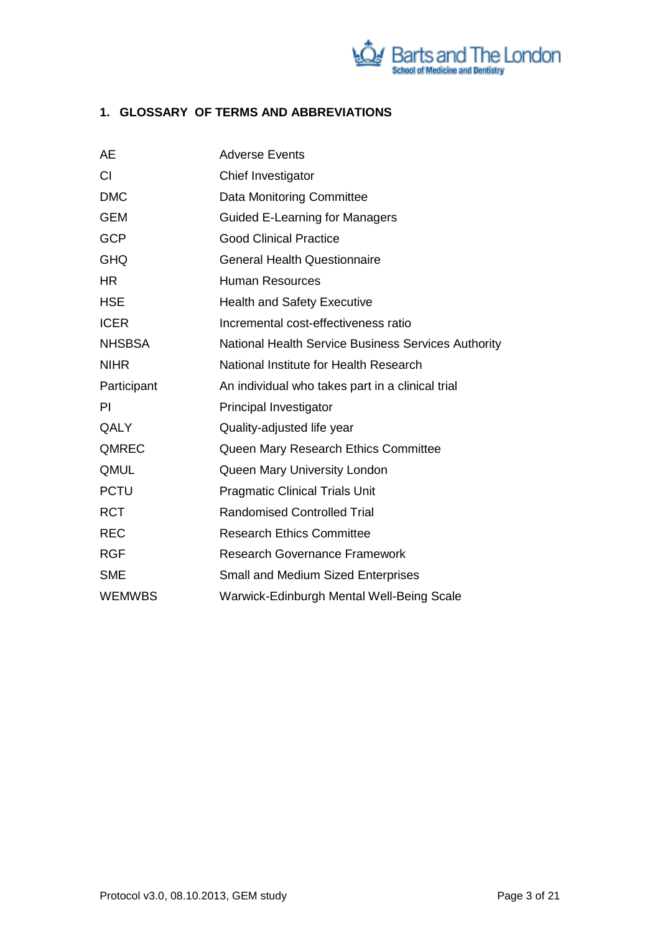

# <span id="page-2-0"></span>**1. GLOSSARY OF TERMS AND ABBREVIATIONS**

| <b>AE</b>     | <b>Adverse Events</b>                                      |
|---------------|------------------------------------------------------------|
| CI            | Chief Investigator                                         |
| <b>DMC</b>    | <b>Data Monitoring Committee</b>                           |
| <b>GEM</b>    | <b>Guided E-Learning for Managers</b>                      |
| <b>GCP</b>    | <b>Good Clinical Practice</b>                              |
| <b>GHQ</b>    | <b>General Health Questionnaire</b>                        |
| <b>HR</b>     | <b>Human Resources</b>                                     |
| <b>HSE</b>    | <b>Health and Safety Executive</b>                         |
| <b>ICER</b>   | Incremental cost-effectiveness ratio                       |
| <b>NHSBSA</b> | <b>National Health Service Business Services Authority</b> |
| <b>NIHR</b>   | National Institute for Health Research                     |
| Participant   | An individual who takes part in a clinical trial           |
| <b>PI</b>     | Principal Investigator                                     |
| QALY          | Quality-adjusted life year                                 |
| QMREC         | Queen Mary Research Ethics Committee                       |
| QMUL          | Queen Mary University London                               |
| <b>PCTU</b>   | <b>Pragmatic Clinical Trials Unit</b>                      |
| <b>RCT</b>    | <b>Randomised Controlled Trial</b>                         |
| <b>REC</b>    | <b>Research Ethics Committee</b>                           |
| <b>RGF</b>    | <b>Research Governance Framework</b>                       |
| <b>SME</b>    | <b>Small and Medium Sized Enterprises</b>                  |
| <b>WEMWBS</b> | Warwick-Edinburgh Mental Well-Being Scale                  |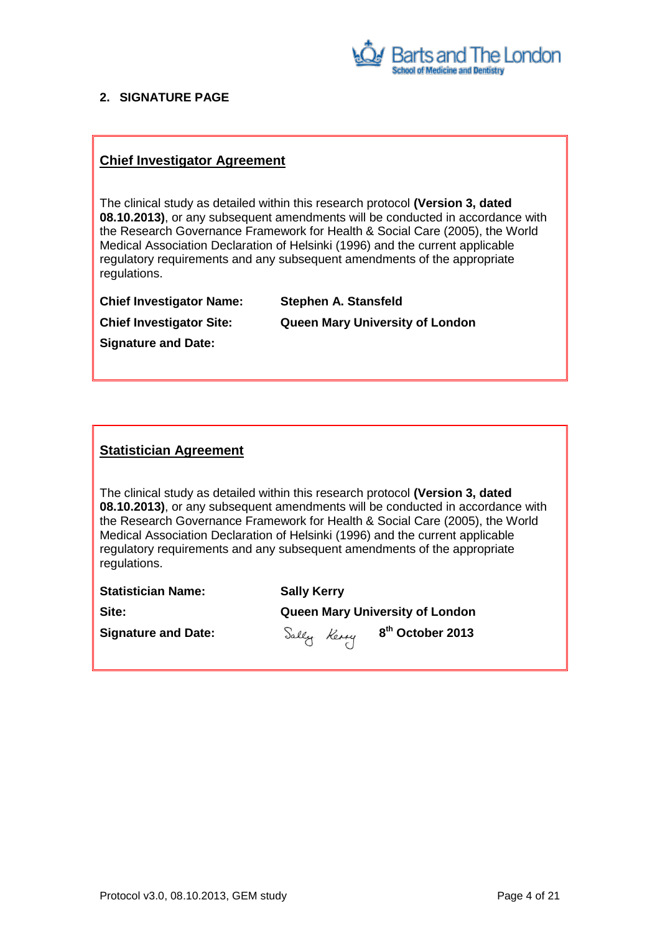

### <span id="page-3-0"></span>**2. SIGNATURE PAGE**

## **Chief Investigator Agreement**

The clinical study as detailed within this research protocol **(Version 3, dated 08.10.2013)**, or any subsequent amendments will be conducted in accordance with the Research Governance Framework for Health & Social Care (2005), the World Medical Association Declaration of Helsinki (1996) and the current applicable regulatory requirements and any subsequent amendments of the appropriate regulations.

| <b>Chief Investigator Name:</b> | <b>Stephen A. Stansfeld</b>            |
|---------------------------------|----------------------------------------|
| <b>Chief Investigator Site:</b> | <b>Queen Mary University of London</b> |
| <b>Signature and Date:</b>      |                                        |

## **Statistician Agreement**

The clinical study as detailed within this research protocol **(Version 3, dated 08.10.2013)**, or any subsequent amendments will be conducted in accordance with the Research Governance Framework for Health & Social Care (2005), the World Medical Association Declaration of Helsinki (1996) and the current applicable regulatory requirements and any subsequent amendments of the appropriate regulations.

| <b>Statistician Name:</b>  | <b>Sally Kerry</b>                      |  |  |
|----------------------------|-----------------------------------------|--|--|
| Site:                      | <b>Queen Mary University of London</b>  |  |  |
| <b>Signature and Date:</b> | Sally Keny 8 <sup>th</sup> October 2013 |  |  |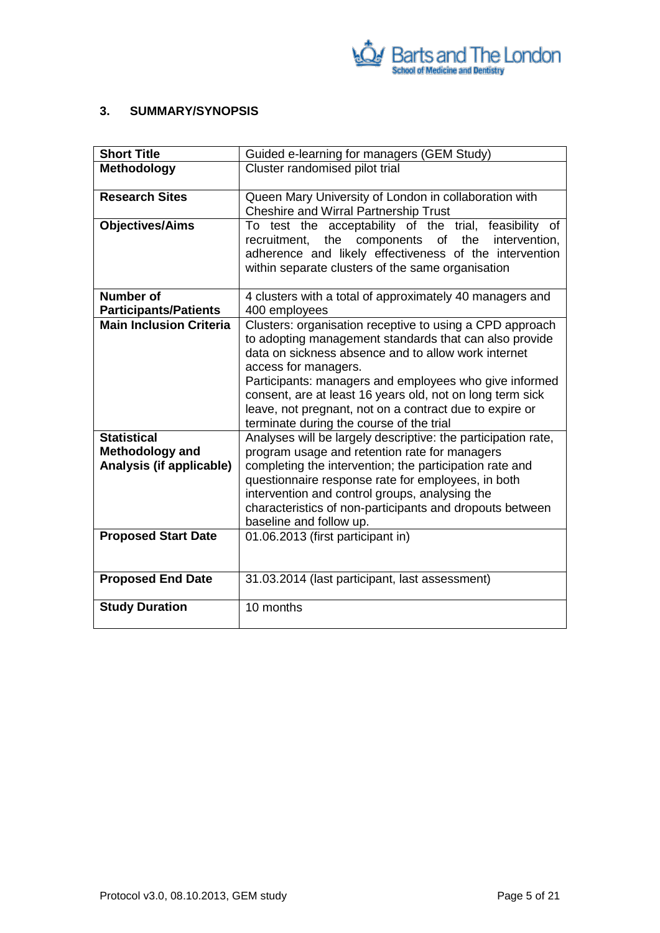

### <span id="page-4-0"></span>**3. SUMMARY/SYNOPSIS**

| <b>Short Title</b>                                                | Guided e-learning for managers (GEM Study)                                                                                                                                                                                                                                                                                                                                                                                      |  |  |
|-------------------------------------------------------------------|---------------------------------------------------------------------------------------------------------------------------------------------------------------------------------------------------------------------------------------------------------------------------------------------------------------------------------------------------------------------------------------------------------------------------------|--|--|
| <b>Methodology</b>                                                | Cluster randomised pilot trial                                                                                                                                                                                                                                                                                                                                                                                                  |  |  |
| <b>Research Sites</b>                                             | Queen Mary University of London in collaboration with<br><b>Cheshire and Wirral Partnership Trust</b>                                                                                                                                                                                                                                                                                                                           |  |  |
| <b>Objectives/Aims</b>                                            | To test the acceptability of the trial, feasibility of<br>the<br>components<br>of<br>the<br>intervention,<br>recruitment,<br>adherence and likely effectiveness of the intervention<br>within separate clusters of the same organisation                                                                                                                                                                                        |  |  |
| <b>Number of</b><br><b>Participants/Patients</b>                  | 4 clusters with a total of approximately 40 managers and<br>400 employees                                                                                                                                                                                                                                                                                                                                                       |  |  |
| <b>Main Inclusion Criteria</b>                                    | Clusters: organisation receptive to using a CPD approach<br>to adopting management standards that can also provide<br>data on sickness absence and to allow work internet<br>access for managers.<br>Participants: managers and employees who give informed<br>consent, are at least 16 years old, not on long term sick<br>leave, not pregnant, not on a contract due to expire or<br>terminate during the course of the trial |  |  |
| <b>Statistical</b><br>Methodology and<br>Analysis (if applicable) | Analyses will be largely descriptive: the participation rate,<br>program usage and retention rate for managers<br>completing the intervention; the participation rate and<br>questionnaire response rate for employees, in both<br>intervention and control groups, analysing the<br>characteristics of non-participants and dropouts between<br>baseline and follow up.                                                        |  |  |
| <b>Proposed Start Date</b>                                        | 01.06.2013 (first participant in)                                                                                                                                                                                                                                                                                                                                                                                               |  |  |
| <b>Proposed End Date</b>                                          | 31.03.2014 (last participant, last assessment)                                                                                                                                                                                                                                                                                                                                                                                  |  |  |
| <b>Study Duration</b>                                             | 10 months                                                                                                                                                                                                                                                                                                                                                                                                                       |  |  |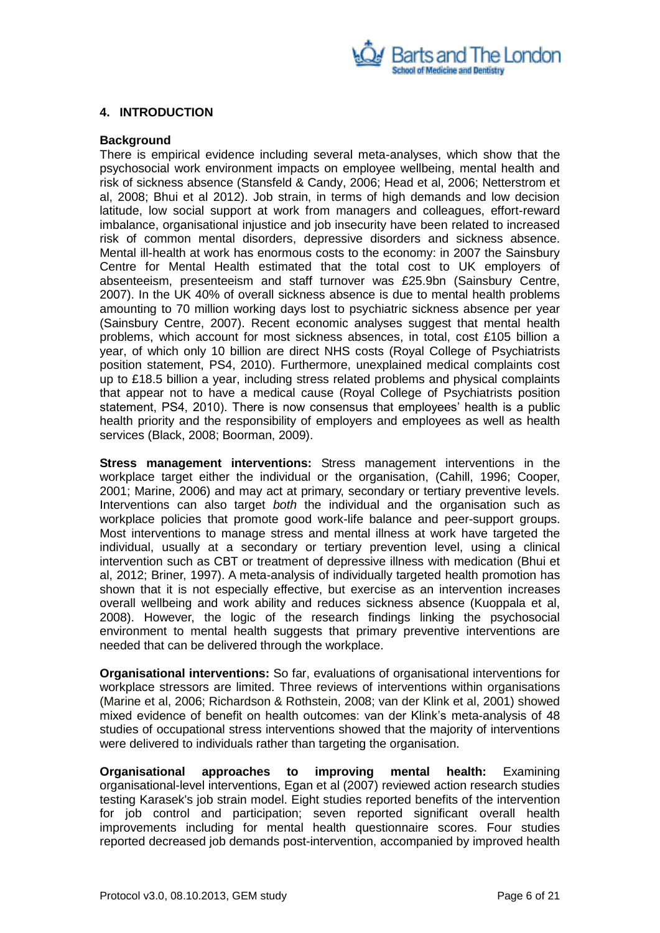

### <span id="page-5-0"></span>**4. INTRODUCTION**

#### **Background**

There is empirical evidence including several meta-analyses, which show that the psychosocial work environment impacts on employee wellbeing, mental health and risk of sickness absence (Stansfeld & Candy, 2006; Head et al, 2006; Netterstrom et al, 2008; Bhui et al 2012). Job strain, in terms of high demands and low decision latitude, low social support at work from managers and colleagues, effort-reward imbalance, organisational injustice and job insecurity have been related to increased risk of common mental disorders, depressive disorders and sickness absence. Mental ill-health at work has enormous costs to the economy: in 2007 the Sainsbury Centre for Mental Health estimated that the total cost to UK employers of absenteeism, presenteeism and staff turnover was £25.9bn (Sainsbury Centre, 2007). In the UK 40% of overall sickness absence is due to mental health problems amounting to 70 million working days lost to psychiatric sickness absence per year (Sainsbury Centre, 2007). Recent economic analyses suggest that mental health problems, which account for most sickness absences, in total, cost £105 billion a year, of which only 10 billion are direct NHS costs (Royal College of Psychiatrists position statement, PS4, 2010). Furthermore, unexplained medical complaints cost up to £18.5 billion a year, including stress related problems and physical complaints that appear not to have a medical cause (Royal College of Psychiatrists position statement, PS4, 2010). There is now consensus that employees' health is a public health priority and the responsibility of employers and employees as well as health services (Black, 2008; Boorman, 2009).

**Stress management interventions:** Stress management interventions in the workplace target either the individual or the organisation, (Cahill, 1996; Cooper, 2001; Marine, 2006) and may act at primary, secondary or tertiary preventive levels. Interventions can also target *both* the individual and the organisation such as workplace policies that promote good work-life balance and peer-support groups. Most interventions to manage stress and mental illness at work have targeted the individual, usually at a secondary or tertiary prevention level, using a clinical intervention such as CBT or treatment of depressive illness with medication (Bhui et al, 2012; Briner, 1997). A meta-analysis of individually targeted health promotion has shown that it is not especially effective, but exercise as an intervention increases overall wellbeing and work ability and reduces sickness absence (Kuoppala et al, 2008). However, the logic of the research findings linking the psychosocial environment to mental health suggests that primary preventive interventions are needed that can be delivered through the workplace.

**Organisational interventions:** So far, evaluations of organisational interventions for workplace stressors are limited. Three reviews of interventions within organisations (Marine et al, 2006; Richardson & Rothstein, 2008; van der Klink et al, 2001) showed mixed evidence of benefit on health outcomes: van der Klink's meta-analysis of 48 studies of occupational stress interventions showed that the majority of interventions were delivered to individuals rather than targeting the organisation.

**Organisational approaches to improving mental health:** Examining organisational-level interventions, Egan et al (2007) reviewed action research studies testing Karasek's job strain model. Eight studies reported benefits of the intervention for job control and participation; seven reported significant overall health improvements including for mental health questionnaire scores. Four studies reported decreased job demands post-intervention, accompanied by improved health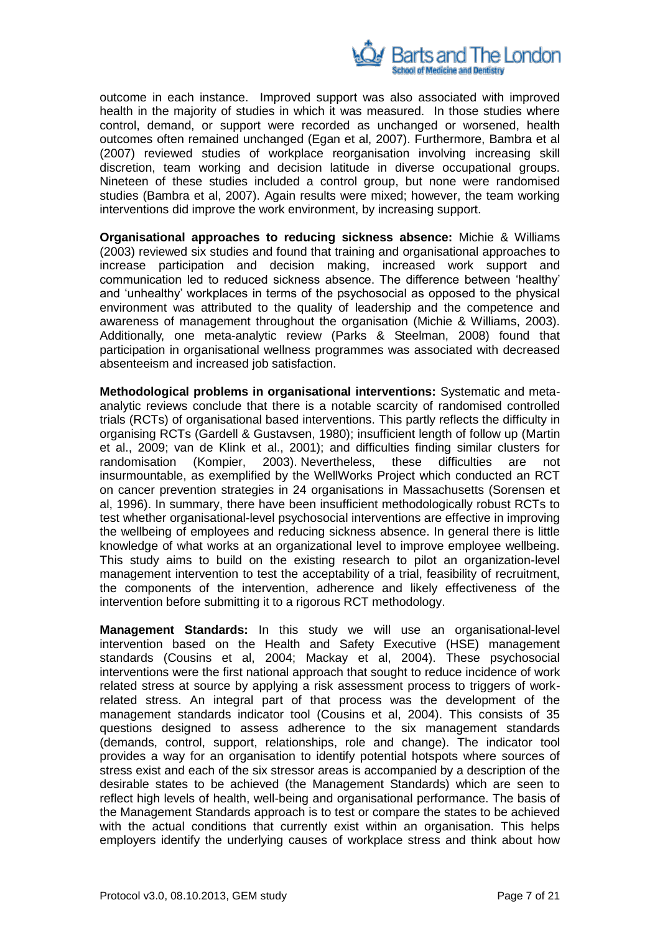

outcome in each instance. Improved support was also associated with improved health in the majority of studies in which it was measured. In those studies where control, demand, or support were recorded as unchanged or worsened, health outcomes often remained unchanged (Egan et al, 2007). Furthermore, Bambra et al (2007) reviewed studies of workplace reorganisation involving increasing skill discretion, team working and decision latitude in diverse occupational groups. Nineteen of these studies included a control group, but none were randomised studies (Bambra et al, 2007). Again results were mixed; however, the team working interventions did improve the work environment, by increasing support.

**Organisational approaches to reducing sickness absence:** Michie & Williams (2003) reviewed six studies and found that training and organisational approaches to increase participation and decision making, increased work support and communication led to reduced sickness absence. The difference between 'healthy' and 'unhealthy' workplaces in terms of the psychosocial as opposed to the physical environment was attributed to the quality of leadership and the competence and awareness of management throughout the organisation (Michie & Williams, 2003). Additionally, one meta-analytic review (Parks & Steelman, 2008) found that participation in organisational wellness programmes was associated with decreased absenteeism and increased job satisfaction.

**Methodological problems in organisational interventions:** Systematic and metaanalytic reviews conclude that there is a notable scarcity of randomised controlled trials (RCTs) of organisational based interventions. This partly reflects the difficulty in organising RCTs (Gardell & Gustavsen, 1980); insufficient length of follow up (Martin et al., 2009; van de Klink et al., 2001); and difficulties finding similar clusters for randomisation (Kompier, 2003). Nevertheless, these difficulties are not insurmountable, as exemplified by the WellWorks Project which conducted an RCT on cancer prevention strategies in 24 organisations in Massachusetts (Sorensen et al, 1996). In summary, there have been insufficient methodologically robust RCTs to test whether organisational-level psychosocial interventions are effective in improving the wellbeing of employees and reducing sickness absence. In general there is little knowledge of what works at an organizational level to improve employee wellbeing. This study aims to build on the existing research to pilot an organization-level management intervention to test the acceptability of a trial, feasibility of recruitment, the components of the intervention, adherence and likely effectiveness of the intervention before submitting it to a rigorous RCT methodology.

**Management Standards:** In this study we will use an organisational-level intervention based on the Health and Safety Executive (HSE) management standards (Cousins et al, 2004; Mackay et al, 2004). These psychosocial interventions were the first national approach that sought to reduce incidence of work related stress at source by applying a risk assessment process to triggers of workrelated stress. An integral part of that process was the development of the management standards indicator tool (Cousins et al, 2004). This consists of 35 questions designed to assess adherence to the six management standards (demands, control, support, relationships, role and change). The indicator tool provides a way for an organisation to identify potential hotspots where sources of stress exist and each of the six stressor areas is accompanied by a description of the desirable states to be achieved (the Management Standards) which are seen to reflect high levels of health, well-being and organisational performance. The basis of the Management Standards approach is to test or compare the states to be achieved with the actual conditions that currently exist within an organisation. This helps employers identify the underlying causes of workplace stress and think about how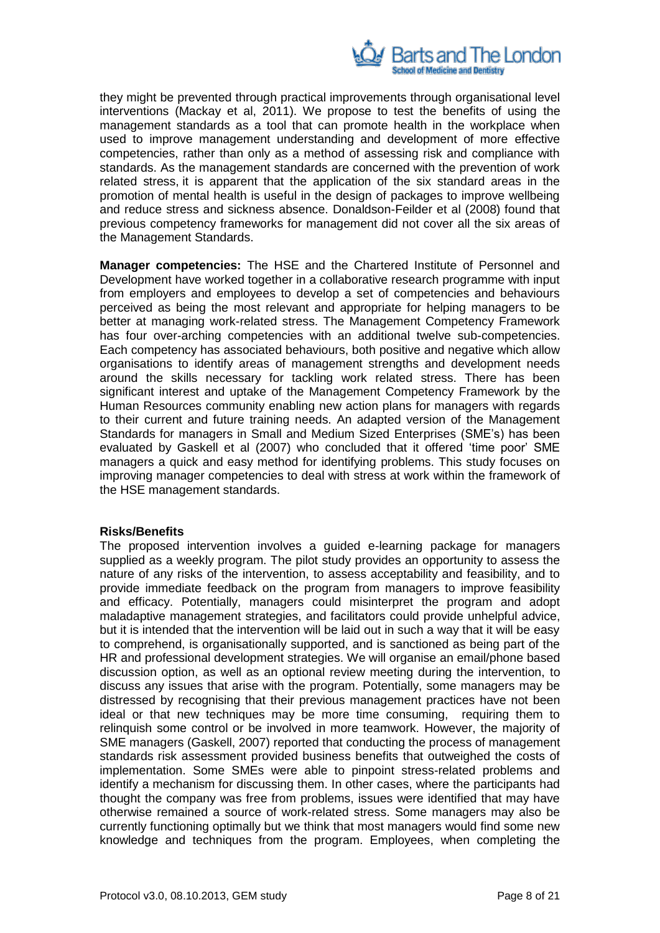

they might be prevented through practical improvements through organisational level interventions (Mackay et al, 2011). We propose to test the benefits of using the management standards as a tool that can promote health in the workplace when used to improve management understanding and development of more effective competencies, rather than only as a method of assessing risk and compliance with standards. As the management standards are concerned with the prevention of work related stress, it is apparent that the application of the six standard areas in the promotion of mental health is useful in the design of packages to improve wellbeing and reduce stress and sickness absence. Donaldson-Feilder et al (2008) found that previous competency frameworks for management did not cover all the six areas of the Management Standards.

**Manager competencies:** The HSE and the Chartered Institute of Personnel and Development have worked together in a collaborative research programme with input from employers and employees to develop a set of competencies and behaviours perceived as being the most relevant and appropriate for helping managers to be better at managing work-related stress. The Management Competency Framework has four over-arching competencies with an additional twelve sub-competencies. Each competency has associated behaviours, both positive and negative which allow organisations to identify areas of management strengths and development needs around the skills necessary for tackling work related stress. There has been significant interest and uptake of the Management Competency Framework by the Human Resources community enabling new action plans for managers with regards to their current and future training needs. An adapted version of the Management Standards for managers in Small and Medium Sized Enterprises (SME's) has been evaluated by Gaskell et al (2007) who concluded that it offered 'time poor' SME managers a quick and easy method for identifying problems. This study focuses on improving manager competencies to deal with stress at work within the framework of the HSE management standards.

### **Risks/Benefits**

The proposed intervention involves a guided e-learning package for managers supplied as a weekly program. The pilot study provides an opportunity to assess the nature of any risks of the intervention, to assess acceptability and feasibility, and to provide immediate feedback on the program from managers to improve feasibility and efficacy. Potentially, managers could misinterpret the program and adopt maladaptive management strategies, and facilitators could provide unhelpful advice, but it is intended that the intervention will be laid out in such a way that it will be easy to comprehend, is organisationally supported, and is sanctioned as being part of the HR and professional development strategies. We will organise an email/phone based discussion option, as well as an optional review meeting during the intervention, to discuss any issues that arise with the program. Potentially, some managers may be distressed by recognising that their previous management practices have not been ideal or that new techniques may be more time consuming, requiring them to relinquish some control or be involved in more teamwork. However, the majority of SME managers (Gaskell, 2007) reported that conducting the process of management standards risk assessment provided business benefits that outweighed the costs of implementation. Some SMEs were able to pinpoint stress-related problems and identify a mechanism for discussing them. In other cases, where the participants had thought the company was free from problems, issues were identified that may have otherwise remained a source of work-related stress. Some managers may also be currently functioning optimally but we think that most managers would find some new knowledge and techniques from the program. Employees, when completing the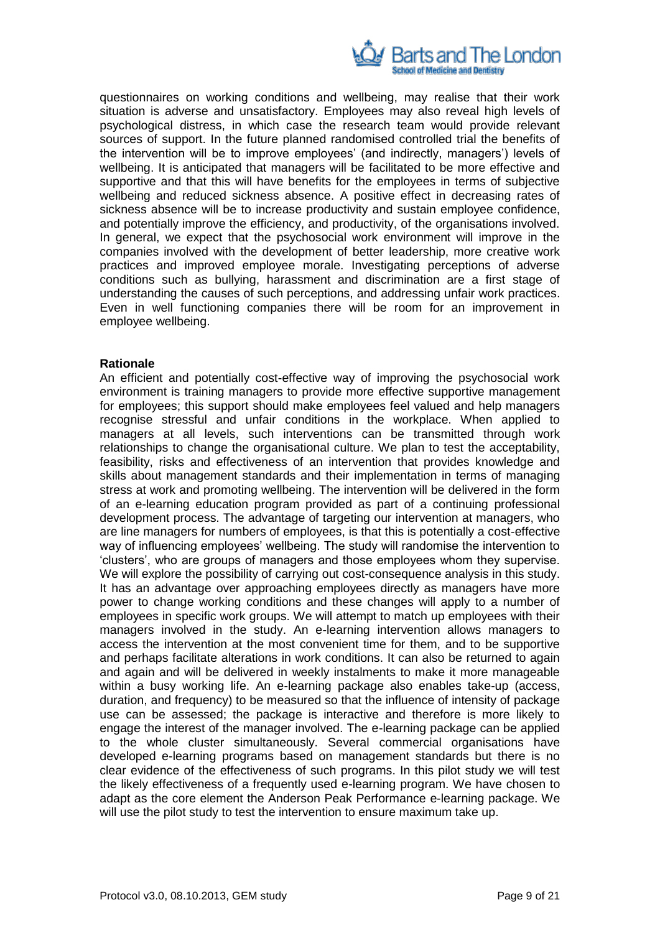

questionnaires on working conditions and wellbeing, may realise that their work situation is adverse and unsatisfactory. Employees may also reveal high levels of psychological distress, in which case the research team would provide relevant sources of support. In the future planned randomised controlled trial the benefits of the intervention will be to improve employees' (and indirectly, managers') levels of wellbeing. It is anticipated that managers will be facilitated to be more effective and supportive and that this will have benefits for the employees in terms of subjective wellbeing and reduced sickness absence. A positive effect in decreasing rates of sickness absence will be to increase productivity and sustain employee confidence, and potentially improve the efficiency, and productivity, of the organisations involved. In general, we expect that the psychosocial work environment will improve in the companies involved with the development of better leadership, more creative work practices and improved employee morale. Investigating perceptions of adverse conditions such as bullying, harassment and discrimination are a first stage of understanding the causes of such perceptions, and addressing unfair work practices. Even in well functioning companies there will be room for an improvement in employee wellbeing.

### **Rationale**

An efficient and potentially cost-effective way of improving the psychosocial work environment is training managers to provide more effective supportive management for employees; this support should make employees feel valued and help managers recognise stressful and unfair conditions in the workplace. When applied to managers at all levels, such interventions can be transmitted through work relationships to change the organisational culture. We plan to test the acceptability, feasibility, risks and effectiveness of an intervention that provides knowledge and skills about management standards and their implementation in terms of managing stress at work and promoting wellbeing. The intervention will be delivered in the form of an e-learning education program provided as part of a continuing professional development process. The advantage of targeting our intervention at managers, who are line managers for numbers of employees, is that this is potentially a cost-effective way of influencing employees' wellbeing. The study will randomise the intervention to 'clusters', who are groups of managers and those employees whom they supervise. We will explore the possibility of carrying out cost-consequence analysis in this study. It has an advantage over approaching employees directly as managers have more power to change working conditions and these changes will apply to a number of employees in specific work groups. We will attempt to match up employees with their managers involved in the study. An e-learning intervention allows managers to access the intervention at the most convenient time for them, and to be supportive and perhaps facilitate alterations in work conditions. It can also be returned to again and again and will be delivered in weekly instalments to make it more manageable within a busy working life. An e-learning package also enables take-up (access, duration, and frequency) to be measured so that the influence of intensity of package use can be assessed; the package is interactive and therefore is more likely to engage the interest of the manager involved. The e-learning package can be applied to the whole cluster simultaneously. Several commercial organisations have developed e-learning programs based on management standards but there is no clear evidence of the effectiveness of such programs. In this pilot study we will test the likely effectiveness of a frequently used e-learning program. We have chosen to adapt as the core element the Anderson Peak Performance e-learning package. We will use the pilot study to test the intervention to ensure maximum take up.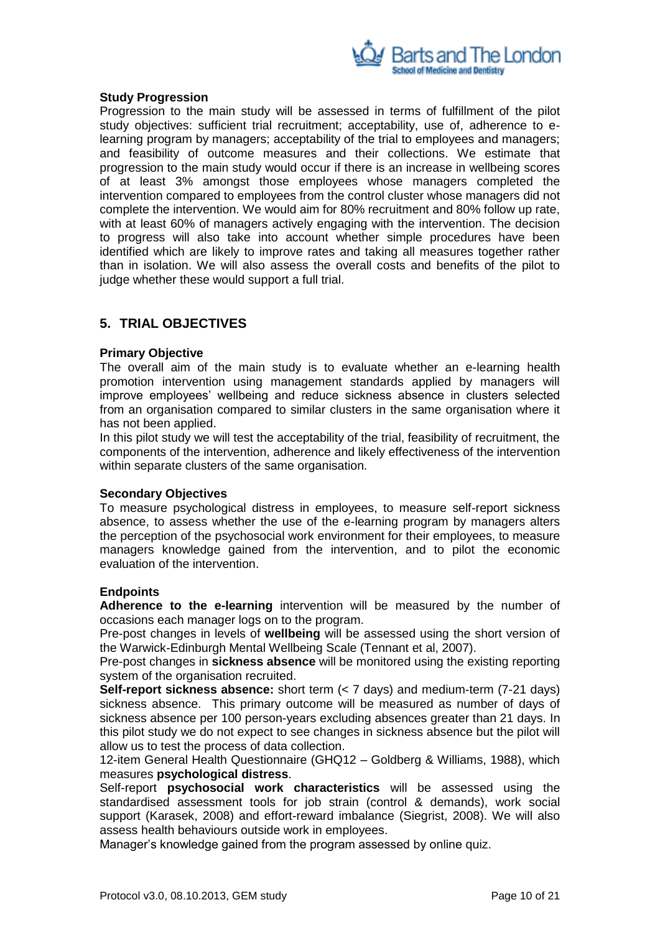

#### **Study Progression**

Progression to the main study will be assessed in terms of fulfillment of the pilot study objectives: sufficient trial recruitment; acceptability, use of, adherence to elearning program by managers; acceptability of the trial to employees and managers; and feasibility of outcome measures and their collections. We estimate that progression to the main study would occur if there is an increase in wellbeing scores of at least 3% amongst those employees whose managers completed the intervention compared to employees from the control cluster whose managers did not complete the intervention. We would aim for 80% recruitment and 80% follow up rate, with at least 60% of managers actively engaging with the intervention. The decision to progress will also take into account whether simple procedures have been identified which are likely to improve rates and taking all measures together rather than in isolation. We will also assess the overall costs and benefits of the pilot to judge whether these would support a full trial.

### <span id="page-9-0"></span>**5. TRIAL OBJECTIVES**

#### **Primary Objective**

The overall aim of the main study is to evaluate whether an e-learning health promotion intervention using management standards applied by managers will improve employees' wellbeing and reduce sickness absence in clusters selected from an organisation compared to similar clusters in the same organisation where it has not been applied.

In this pilot study we will test the acceptability of the trial, feasibility of recruitment, the components of the intervention, adherence and likely effectiveness of the intervention within separate clusters of the same organisation.

### **Secondary Objectives**

To measure psychological distress in employees, to measure self-report sickness absence, to assess whether the use of the e-learning program by managers alters the perception of the psychosocial work environment for their employees, to measure managers knowledge gained from the intervention, and to pilot the economic evaluation of the intervention.

### **Endpoints**

**Adherence to the e-learning** intervention will be measured by the number of occasions each manager logs on to the program.

Pre-post changes in levels of **wellbeing** will be assessed using the short version of the Warwick-Edinburgh Mental Wellbeing Scale (Tennant et al, 2007).

Pre-post changes in **sickness absence** will be monitored using the existing reporting system of the organisation recruited.

**Self-report sickness absence:** short term (< 7 days) and medium-term (7-21 days) sickness absence. This primary outcome will be measured as number of days of sickness absence per 100 person-years excluding absences greater than 21 days. In this pilot study we do not expect to see changes in sickness absence but the pilot will allow us to test the process of data collection.

12-item General Health Questionnaire (GHQ12 – Goldberg & Williams, 1988), which measures **psychological distress**.

Self-report **psychosocial work characteristics** will be assessed using the standardised assessment tools for job strain (control & demands), work social support (Karasek, 2008) and effort-reward imbalance (Siegrist, 2008). We will also assess health behaviours outside work in employees.

Manager's knowledge gained from the program assessed by online quiz.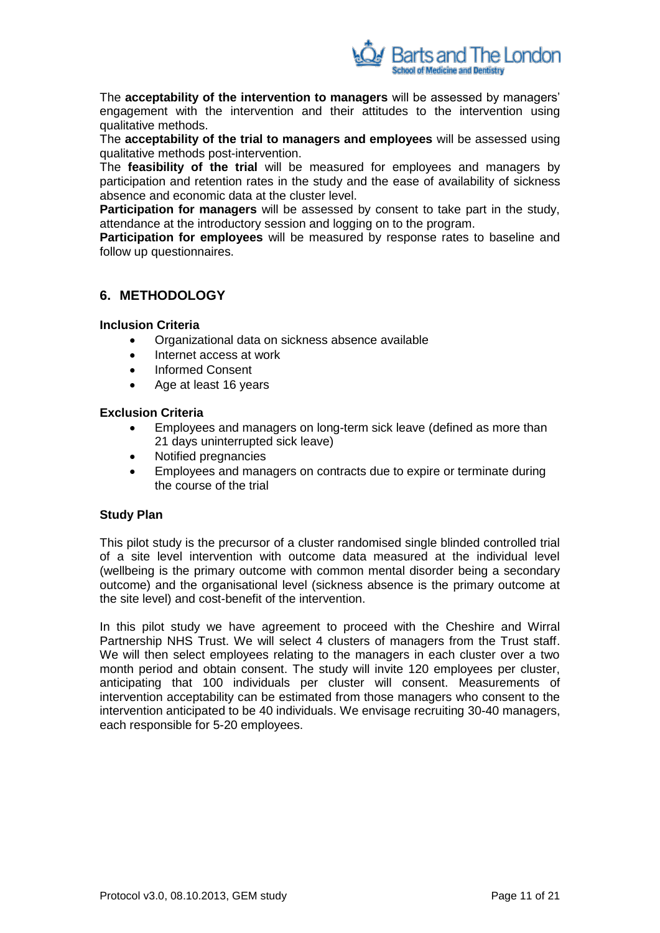

The **acceptability of the intervention to managers** will be assessed by managers' engagement with the intervention and their attitudes to the intervention using qualitative methods.

The **acceptability of the trial to managers and employees** will be assessed using qualitative methods post-intervention.

The **feasibility of the trial** will be measured for employees and managers by participation and retention rates in the study and the ease of availability of sickness absence and economic data at the cluster level.

**Participation for managers** will be assessed by consent to take part in the study, attendance at the introductory session and logging on to the program.

**Participation for employees** will be measured by response rates to baseline and follow up questionnaires.

### <span id="page-10-0"></span>**6. METHODOLOGY**

### **Inclusion Criteria**

- Organizational data on sickness absence available
- Internet access at work
- Informed Consent
- Age at least 16 years

### **Exclusion Criteria**

- Employees and managers on long-term sick leave (defined as more than 21 days uninterrupted sick leave)
- Notified pregnancies
- Employees and managers on contracts due to expire or terminate during the course of the trial

### **Study Plan**

This pilot study is the precursor of a cluster randomised single blinded controlled trial of a site level intervention with outcome data measured at the individual level (wellbeing is the primary outcome with common mental disorder being a secondary outcome) and the organisational level (sickness absence is the primary outcome at the site level) and cost-benefit of the intervention.

In this pilot study we have agreement to proceed with the Cheshire and Wirral Partnership NHS Trust. We will select 4 clusters of managers from the Trust staff. We will then select employees relating to the managers in each cluster over a two month period and obtain consent. The study will invite 120 employees per cluster, anticipating that 100 individuals per cluster will consent. Measurements of intervention acceptability can be estimated from those managers who consent to the intervention anticipated to be 40 individuals. We envisage recruiting 30-40 managers, each responsible for 5-20 employees.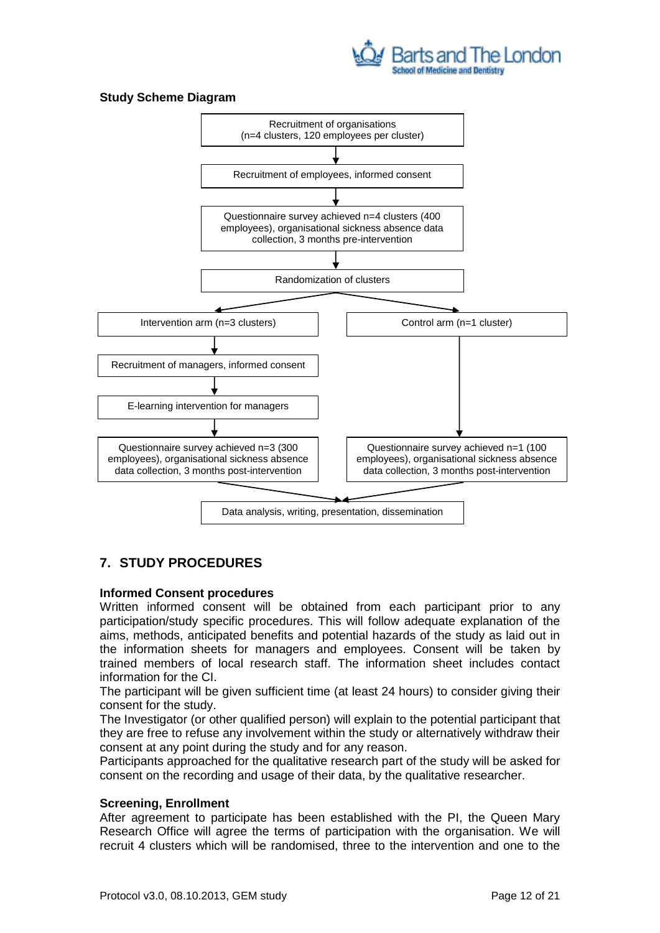

### **Study Scheme Diagram**



## <span id="page-11-0"></span>**7. STUDY PROCEDURES**

### **Informed Consent procedures**

Written informed consent will be obtained from each participant prior to any participation/study specific procedures. This will follow adequate explanation of the aims, methods, anticipated benefits and potential hazards of the study as laid out in the information sheets for managers and employees. Consent will be taken by trained members of local research staff. The information sheet includes contact information for the CI.

The participant will be given sufficient time (at least 24 hours) to consider giving their consent for the study.

The Investigator (or other qualified person) will explain to the potential participant that they are free to refuse any involvement within the study or alternatively withdraw their consent at any point during the study and for any reason.

Participants approached for the qualitative research part of the study will be asked for consent on the recording and usage of their data, by the qualitative researcher.

### **Screening, Enrollment**

After agreement to participate has been established with the PI, the Queen Mary Research Office will agree the terms of participation with the organisation. We will recruit 4 clusters which will be randomised, three to the intervention and one to the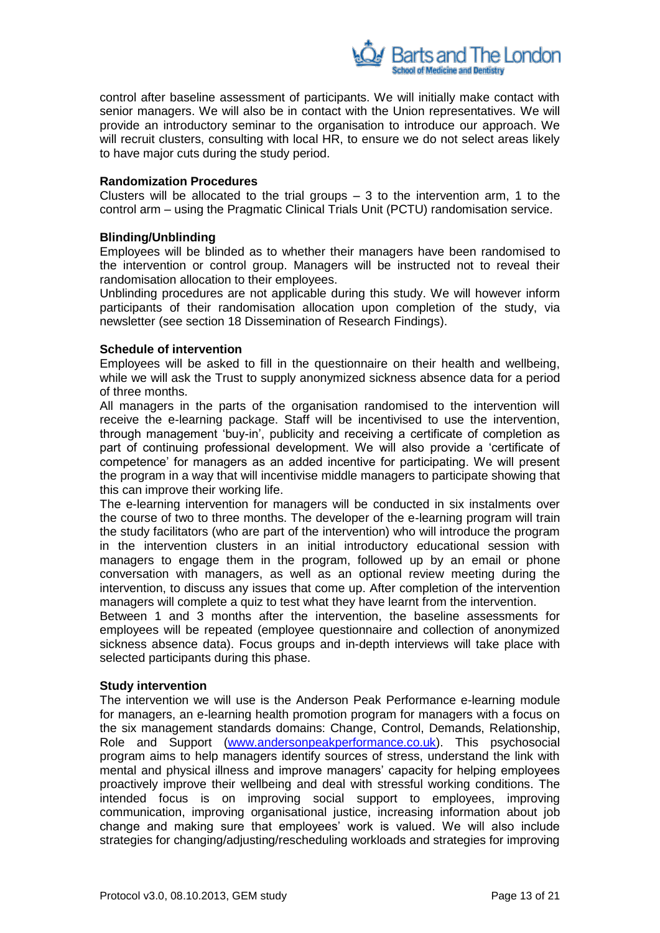

control after baseline assessment of participants. We will initially make contact with senior managers. We will also be in contact with the Union representatives. We will provide an introductory seminar to the organisation to introduce our approach. We will recruit clusters, consulting with local HR, to ensure we do not select areas likely to have major cuts during the study period.

#### **Randomization Procedures**

Clusters will be allocated to the trial groups  $-3$  to the intervention arm, 1 to the control arm – using the Pragmatic Clinical Trials Unit (PCTU) randomisation service.

### **Blinding/Unblinding**

Employees will be blinded as to whether their managers have been randomised to the intervention or control group. Managers will be instructed not to reveal their randomisation allocation to their employees.

Unblinding procedures are not applicable during this study. We will however inform participants of their randomisation allocation upon completion of the study, via newsletter (see section 18 Dissemination of Research Findings).

#### **Schedule of intervention**

Employees will be asked to fill in the questionnaire on their health and wellbeing, while we will ask the Trust to supply anonymized sickness absence data for a period of three months.

All managers in the parts of the organisation randomised to the intervention will receive the e-learning package. Staff will be incentivised to use the intervention, through management 'buy-in', publicity and receiving a certificate of completion as part of continuing professional development. We will also provide a 'certificate of competence' for managers as an added incentive for participating. We will present the program in a way that will incentivise middle managers to participate showing that this can improve their working life.

The e-learning intervention for managers will be conducted in six instalments over the course of two to three months. The developer of the e-learning program will train the study facilitators (who are part of the intervention) who will introduce the program in the intervention clusters in an initial introductory educational session with managers to engage them in the program, followed up by an email or phone conversation with managers, as well as an optional review meeting during the intervention, to discuss any issues that come up. After completion of the intervention managers will complete a quiz to test what they have learnt from the intervention.

Between 1 and 3 months after the intervention, the baseline assessments for employees will be repeated (employee questionnaire and collection of anonymized sickness absence data). Focus groups and in-depth interviews will take place with selected participants during this phase.

#### **Study intervention**

The intervention we will use is the Anderson Peak Performance e-learning module for managers, an e-learning health promotion program for managers with a focus on the six management standards domains: Change, Control, Demands, Relationship, Role and Support [\(www.andersonpeakperformance.co.uk\)](http://www.andersonpeakperformance.co.uk/). This psychosocial program aims to help managers identify sources of stress, understand the link with mental and physical illness and improve managers' capacity for helping employees proactively improve their wellbeing and deal with stressful working conditions. The intended focus is on improving social support to employees, improving communication, improving organisational justice, increasing information about job change and making sure that employees' work is valued. We will also include strategies for changing/adjusting/rescheduling workloads and strategies for improving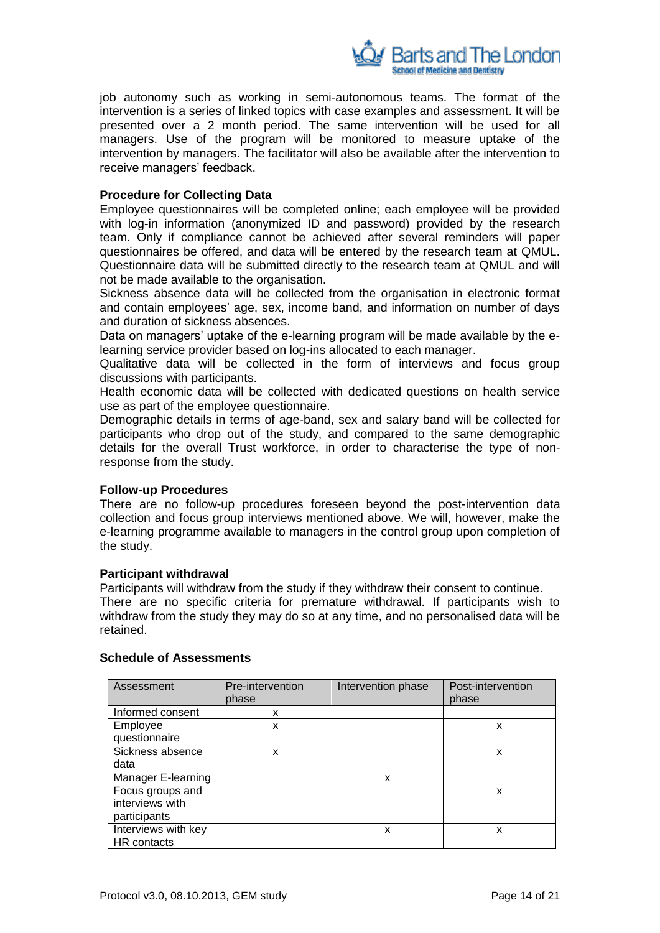

job autonomy such as working in semi-autonomous teams. The format of the intervention is a series of linked topics with case examples and assessment. It will be presented over a 2 month period. The same intervention will be used for all managers. Use of the program will be monitored to measure uptake of the intervention by managers. The facilitator will also be available after the intervention to receive managers' feedback.

### **Procedure for Collecting Data**

Employee questionnaires will be completed online; each employee will be provided with log-in information (anonymized ID and password) provided by the research team. Only if compliance cannot be achieved after several reminders will paper questionnaires be offered, and data will be entered by the research team at QMUL. Questionnaire data will be submitted directly to the research team at QMUL and will not be made available to the organisation.

Sickness absence data will be collected from the organisation in electronic format and contain employees' age, sex, income band, and information on number of days and duration of sickness absences.

Data on managers' uptake of the e-learning program will be made available by the elearning service provider based on log-ins allocated to each manager.

Qualitative data will be collected in the form of interviews and focus group discussions with participants.

Health economic data will be collected with dedicated questions on health service use as part of the employee questionnaire.

Demographic details in terms of age-band, sex and salary band will be collected for participants who drop out of the study, and compared to the same demographic details for the overall Trust workforce, in order to characterise the type of nonresponse from the study.

### **Follow-up Procedures**

There are no follow-up procedures foreseen beyond the post-intervention data collection and focus group interviews mentioned above. We will, however, make the e-learning programme available to managers in the control group upon completion of the study.

#### **Participant withdrawal**

Participants will withdraw from the study if they withdraw their consent to continue. There are no specific criteria for premature withdrawal. If participants wish to withdraw from the study they may do so at any time, and no personalised data will be retained.

| Assessment          | Pre-intervention<br>phase | Intervention phase | Post-intervention<br>phase |
|---------------------|---------------------------|--------------------|----------------------------|
| Informed consent    | x                         |                    |                            |
| Employee            | x                         |                    | x                          |
| questionnaire       |                           |                    |                            |
| Sickness absence    | x                         |                    | x                          |
| data                |                           |                    |                            |
| Manager E-learning  |                           | x                  |                            |
| Focus groups and    |                           |                    | x                          |
| interviews with     |                           |                    |                            |
| participants        |                           |                    |                            |
| Interviews with key |                           | X                  | x                          |
| HR contacts         |                           |                    |                            |

#### **Schedule of Assessments**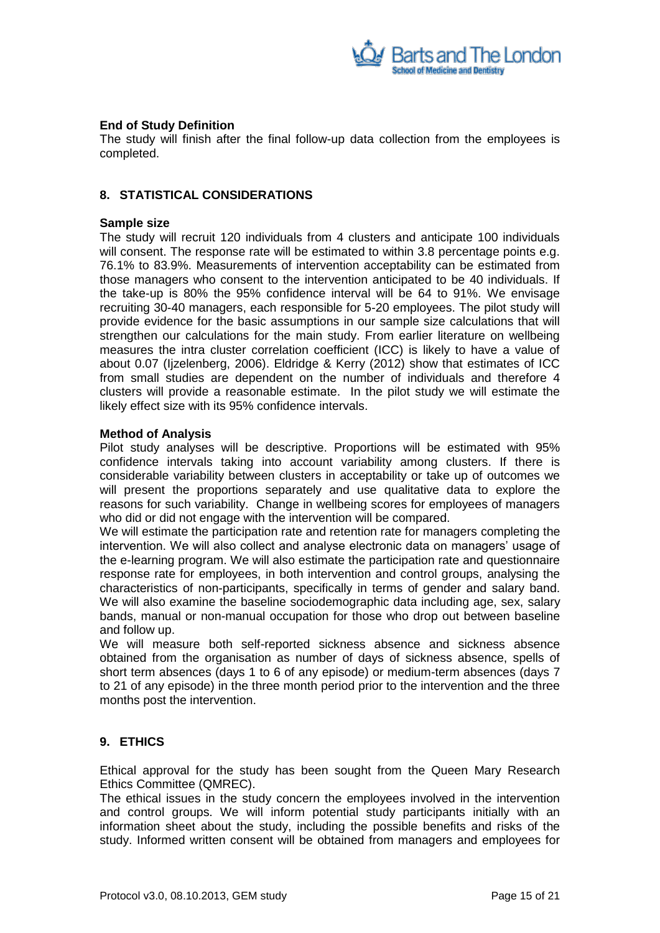

### **End of Study Definition**

The study will finish after the final follow-up data collection from the employees is completed.

### <span id="page-14-0"></span>**8. STATISTICAL CONSIDERATIONS**

#### **Sample size**

The study will recruit 120 individuals from 4 clusters and anticipate 100 individuals will consent. The response rate will be estimated to within 3.8 percentage points e.g. 76.1% to 83.9%. Measurements of intervention acceptability can be estimated from those managers who consent to the intervention anticipated to be 40 individuals. If the take-up is 80% the 95% confidence interval will be 64 to 91%. We envisage recruiting 30-40 managers, each responsible for 5-20 employees. The pilot study will provide evidence for the basic assumptions in our sample size calculations that will strengthen our calculations for the main study. From earlier literature on wellbeing measures the intra cluster correlation coefficient (ICC) is likely to have a value of about 0.07 (Ijzelenberg, 2006). Eldridge & Kerry (2012) show that estimates of ICC from small studies are dependent on the number of individuals and therefore 4 clusters will provide a reasonable estimate. In the pilot study we will estimate the likely effect size with its 95% confidence intervals.

#### **Method of Analysis**

Pilot study analyses will be descriptive. Proportions will be estimated with 95% confidence intervals taking into account variability among clusters. If there is considerable variability between clusters in acceptability or take up of outcomes we will present the proportions separately and use qualitative data to explore the reasons for such variability. Change in wellbeing scores for employees of managers who did or did not engage with the intervention will be compared.

We will estimate the participation rate and retention rate for managers completing the intervention. We will also collect and analyse electronic data on managers' usage of the e-learning program. We will also estimate the participation rate and questionnaire response rate for employees, in both intervention and control groups, analysing the characteristics of non-participants, specifically in terms of gender and salary band. We will also examine the baseline sociodemographic data including age, sex, salary bands, manual or non-manual occupation for those who drop out between baseline and follow up.

We will measure both self-reported sickness absence and sickness absence obtained from the organisation as number of days of sickness absence, spells of short term absences (days 1 to 6 of any episode) or medium-term absences (days 7 to 21 of any episode) in the three month period prior to the intervention and the three months post the intervention.

### <span id="page-14-1"></span>**9. ETHICS**

Ethical approval for the study has been sought from the Queen Mary Research Ethics Committee (QMREC).

The ethical issues in the study concern the employees involved in the intervention and control groups. We will inform potential study participants initially with an information sheet about the study, including the possible benefits and risks of the study. Informed written consent will be obtained from managers and employees for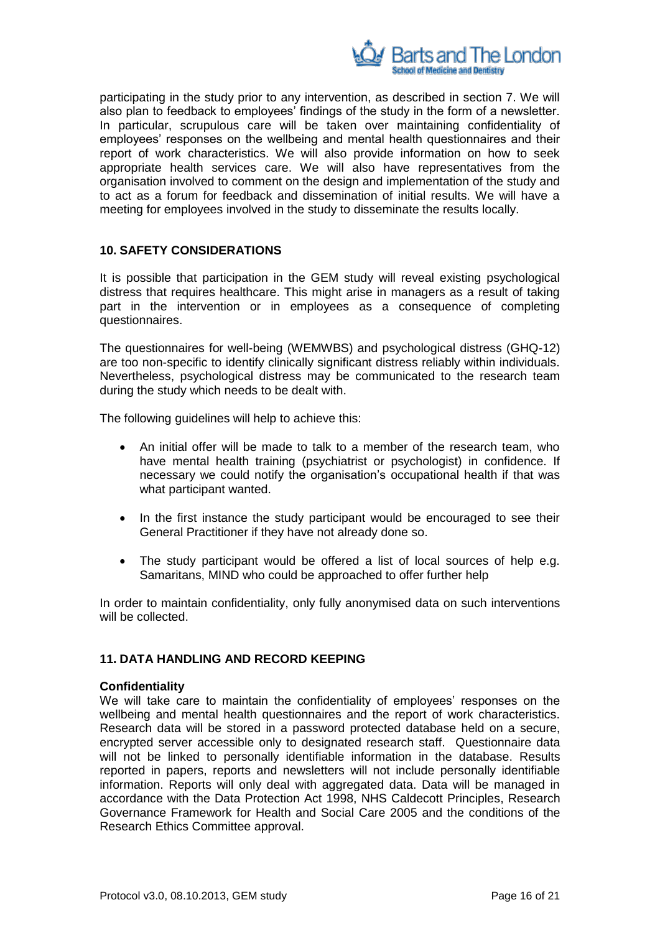

participating in the study prior to any intervention, as described in section 7. We will also plan to feedback to employees' findings of the study in the form of a newsletter. In particular, scrupulous care will be taken over maintaining confidentiality of employees' responses on the wellbeing and mental health questionnaires and their report of work characteristics. We will also provide information on how to seek appropriate health services care. We will also have representatives from the organisation involved to comment on the design and implementation of the study and to act as a forum for feedback and dissemination of initial results. We will have a meeting for employees involved in the study to disseminate the results locally.

### <span id="page-15-0"></span>**10. SAFETY CONSIDERATIONS**

It is possible that participation in the GEM study will reveal existing psychological distress that requires healthcare. This might arise in managers as a result of taking part in the intervention or in employees as a consequence of completing questionnaires.

The questionnaires for well-being (WEMWBS) and psychological distress (GHQ-12) are too non-specific to identify clinically significant distress reliably within individuals. Nevertheless, psychological distress may be communicated to the research team during the study which needs to be dealt with.

The following guidelines will help to achieve this:

- An initial offer will be made to talk to a member of the research team, who have mental health training (psychiatrist or psychologist) in confidence. If necessary we could notify the organisation's occupational health if that was what participant wanted.
- In the first instance the study participant would be encouraged to see their General Practitioner if they have not already done so.
- The study participant would be offered a list of local sources of help e.g. Samaritans, MIND who could be approached to offer further help

In order to maintain confidentiality, only fully anonymised data on such interventions will be collected.

### <span id="page-15-1"></span>**11. DATA HANDLING AND RECORD KEEPING**

#### **Confidentiality**

We will take care to maintain the confidentiality of employees' responses on the wellbeing and mental health questionnaires and the report of work characteristics. Research data will be stored in a password protected database held on a secure, encrypted server accessible only to designated research staff. Questionnaire data will not be linked to personally identifiable information in the database. Results reported in papers, reports and newsletters will not include personally identifiable information. Reports will only deal with aggregated data. Data will be managed in accordance with the Data Protection Act 1998, NHS Caldecott Principles, Research Governance Framework for Health and Social Care 2005 and the conditions of the Research Ethics Committee approval.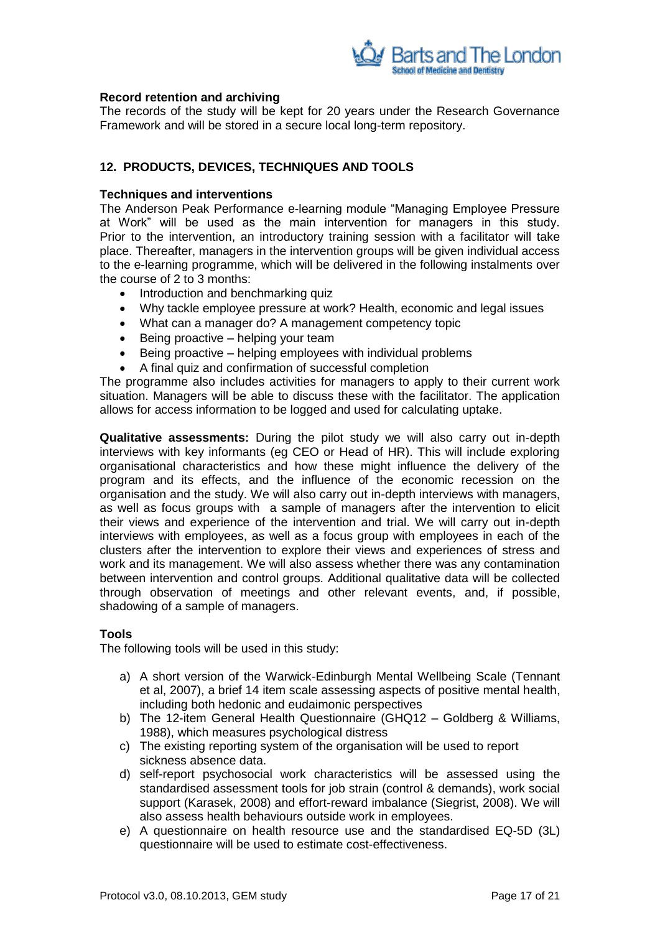

### **Record retention and archiving**

The records of the study will be kept for 20 years under the Research Governance Framework and will be stored in a secure local long-term repository.

## <span id="page-16-0"></span>**12. PRODUCTS, DEVICES, TECHNIQUES AND TOOLS**

### **Techniques and interventions**

The Anderson Peak Performance e-learning module "Managing Employee Pressure at Work" will be used as the main intervention for managers in this study. Prior to the intervention, an introductory training session with a facilitator will take place. Thereafter, managers in the intervention groups will be given individual access to the e-learning programme, which will be delivered in the following instalments over the course of 2 to 3 months:

- Introduction and benchmarking quiz
- Why tackle employee pressure at work? Health, economic and legal issues
- What can a manager do? A management competency topic
- $\bullet$  Being proactive helping your team
- $\bullet$  Being proactive helping employees with individual problems
- A final quiz and confirmation of successful completion

The programme also includes activities for managers to apply to their current work situation. Managers will be able to discuss these with the facilitator. The application allows for access information to be logged and used for calculating uptake.

**Qualitative assessments:** During the pilot study we will also carry out in-depth interviews with key informants (eg CEO or Head of HR). This will include exploring organisational characteristics and how these might influence the delivery of the program and its effects, and the influence of the economic recession on the organisation and the study. We will also carry out in-depth interviews with managers, as well as focus groups with a sample of managers after the intervention to elicit their views and experience of the intervention and trial. We will carry out in-depth interviews with employees, as well as a focus group with employees in each of the clusters after the intervention to explore their views and experiences of stress and work and its management. We will also assess whether there was any contamination between intervention and control groups. Additional qualitative data will be collected through observation of meetings and other relevant events, and, if possible, shadowing of a sample of managers.

### **Tools**

The following tools will be used in this study:

- a) A short version of the Warwick-Edinburgh Mental Wellbeing Scale (Tennant et al, 2007), a brief 14 item scale assessing aspects of positive mental health, including both hedonic and eudaimonic perspectives
- b) The 12-item General Health Questionnaire (GHQ12 Goldberg & Williams, 1988), which measures psychological distress
- c) The existing reporting system of the organisation will be used to report sickness absence data.
- d) self-report psychosocial work characteristics will be assessed using the standardised assessment tools for job strain (control & demands), work social support (Karasek, 2008) and effort-reward imbalance (Siegrist, 2008). We will also assess health behaviours outside work in employees.
- e) A questionnaire on health resource use and the standardised EQ-5D (3L) questionnaire will be used to estimate cost-effectiveness.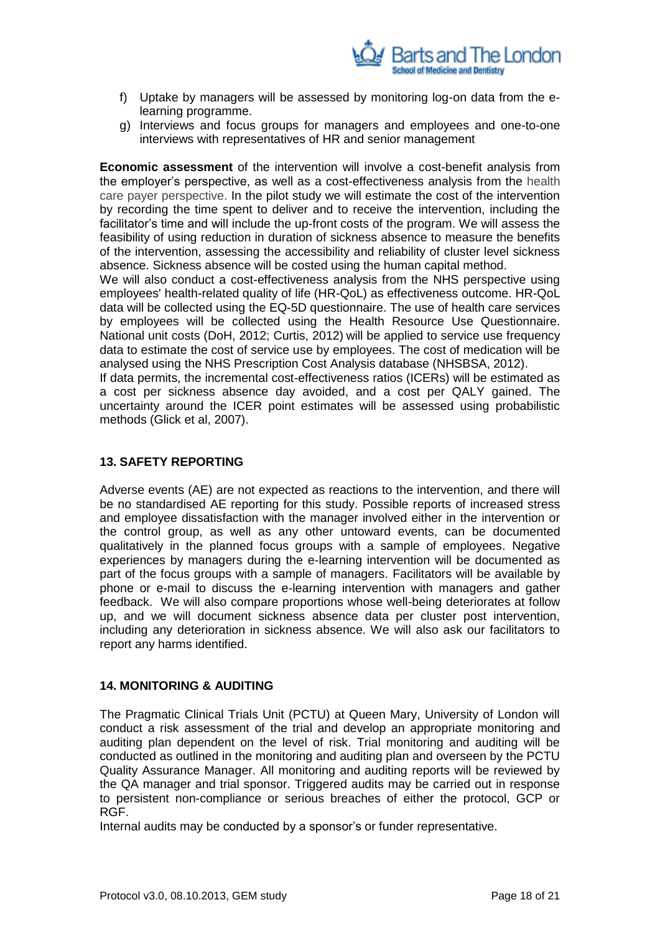

- f) Uptake by managers will be assessed by monitoring log-on data from the elearning programme.
- g) Interviews and focus groups for managers and employees and one-to-one interviews with representatives of HR and senior management

**Economic assessment** of the intervention will involve a cost-benefit analysis from the employer's perspective, as well as a cost-effectiveness analysis from the health care payer perspective. In the pilot study we will estimate the cost of the intervention by recording the time spent to deliver and to receive the intervention, including the facilitator's time and will include the up-front costs of the program. We will assess the feasibility of using reduction in duration of sickness absence to measure the benefits of the intervention, assessing the accessibility and reliability of cluster level sickness absence. Sickness absence will be costed using the human capital method.

We will also conduct a cost-effectiveness analysis from the NHS perspective using employees' health-related quality of life (HR-QoL) as effectiveness outcome. HR-QoL data will be collected using the EQ-5D questionnaire. The use of health care services by employees will be collected using the Health Resource Use Questionnaire. National unit costs (DoH, 2012; Curtis, 2012) will be applied to service use frequency data to estimate the cost of service use by employees. The cost of medication will be analysed using the NHS Prescription Cost Analysis database (NHSBSA, 2012).

If data permits, the incremental cost-effectiveness ratios (ICERs) will be estimated as a cost per sickness absence day avoided, and a cost per QALY gained. The uncertainty around the ICER point estimates will be assessed using probabilistic methods (Glick et al, 2007).

### <span id="page-17-0"></span>**13. SAFETY REPORTING**

Adverse events (AE) are not expected as reactions to the intervention, and there will be no standardised AE reporting for this study. Possible reports of increased stress and employee dissatisfaction with the manager involved either in the intervention or the control group, as well as any other untoward events, can be documented qualitatively in the planned focus groups with a sample of employees. Negative experiences by managers during the e-learning intervention will be documented as part of the focus groups with a sample of managers. Facilitators will be available by phone or e-mail to discuss the e-learning intervention with managers and gather feedback. We will also compare proportions whose well-being deteriorates at follow up, and we will document sickness absence data per cluster post intervention, including any deterioration in sickness absence. We will also ask our facilitators to report any harms identified.

### <span id="page-17-1"></span>**14. MONITORING & AUDITING**

The Pragmatic Clinical Trials Unit (PCTU) at Queen Mary, University of London will conduct a risk assessment of the trial and develop an appropriate monitoring and auditing plan dependent on the level of risk. Trial monitoring and auditing will be conducted as outlined in the monitoring and auditing plan and overseen by the PCTU Quality Assurance Manager. All monitoring and auditing reports will be reviewed by the QA manager and trial sponsor. Triggered audits may be carried out in response to persistent non-compliance or serious breaches of either the protocol, GCP or RGF.

Internal audits may be conducted by a sponsor's or funder representative.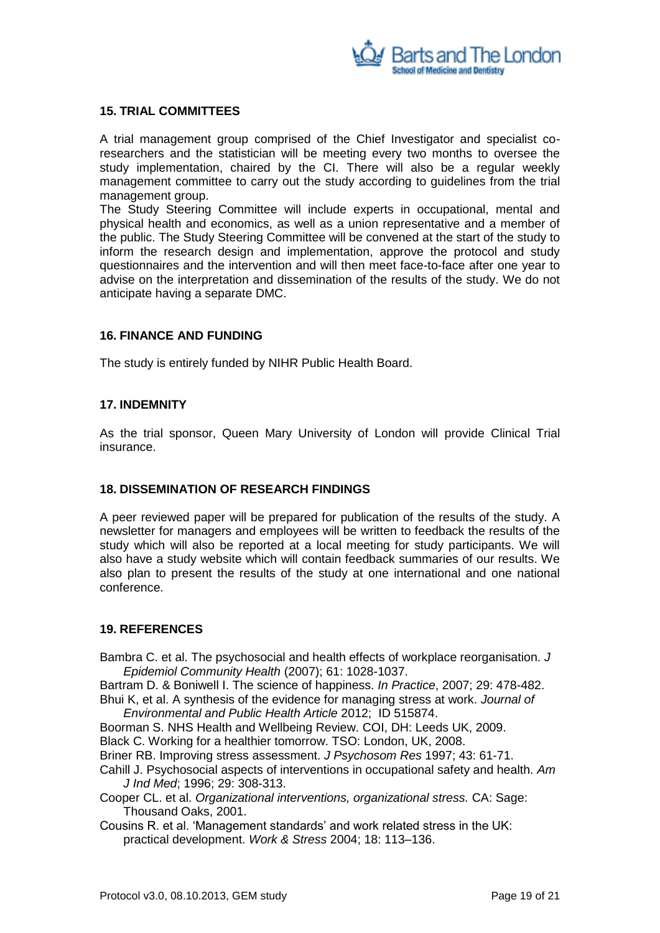

### <span id="page-18-0"></span>**15. TRIAL COMMITTEES**

A trial management group comprised of the Chief Investigator and specialist coresearchers and the statistician will be meeting every two months to oversee the study implementation, chaired by the CI. There will also be a regular weekly management committee to carry out the study according to guidelines from the trial management group.

The Study Steering Committee will include experts in occupational, mental and physical health and economics, as well as a union representative and a member of the public. The Study Steering Committee will be convened at the start of the study to inform the research design and implementation, approve the protocol and study questionnaires and the intervention and will then meet face-to-face after one year to advise on the interpretation and dissemination of the results of the study. We do not anticipate having a separate DMC.

### <span id="page-18-1"></span>**16. FINANCE AND FUNDING**

The study is entirely funded by NIHR Public Health Board.

### <span id="page-18-2"></span>**17. INDEMNITY**

As the trial sponsor, Queen Mary University of London will provide Clinical Trial insurance.

### <span id="page-18-3"></span>**18. DISSEMINATION OF RESEARCH FINDINGS**

A peer reviewed paper will be prepared for publication of the results of the study. A newsletter for managers and employees will be written to feedback the results of the study which will also be reported at a local meeting for study participants. We will also have a study website which will contain feedback summaries of our results. We also plan to present the results of the study at one international and one national conference.

### <span id="page-18-4"></span>**19. REFERENCES**

Bambra C. et al. The psychosocial and health effects of workplace reorganisation. *J Epidemiol Community Health* (2007); 61: 1028-1037.

Bartram D. & Boniwell I. The science of happiness. *In Practice*, 2007; 29: 478-482. Bhui K, et al. A synthesis of the evidence for managing stress at work. *Journal of* 

- *Environmental and Public Health Article* 2012; ID 515874.
- Boorman S. NHS Health and Wellbeing Review. COI, DH: Leeds UK, 2009. Black C. Working for a healthier tomorrow. TSO: London, UK, 2008.

Briner RB. Improving stress assessment. *J Psychosom Res* 1997; 43: 61-71.

- Cahill J. Psychosocial aspects of interventions in occupational safety and health. *Am J Ind Med*; 1996; 29: 308-313.
- Cooper CL. et al. *Organizational interventions, organizational stress.* CA: Sage: Thousand Oaks, 2001.
- Cousins R. et al. 'Management standards' and work related stress in the UK: practical development. *Work & Stress* 2004; 18: 113–136.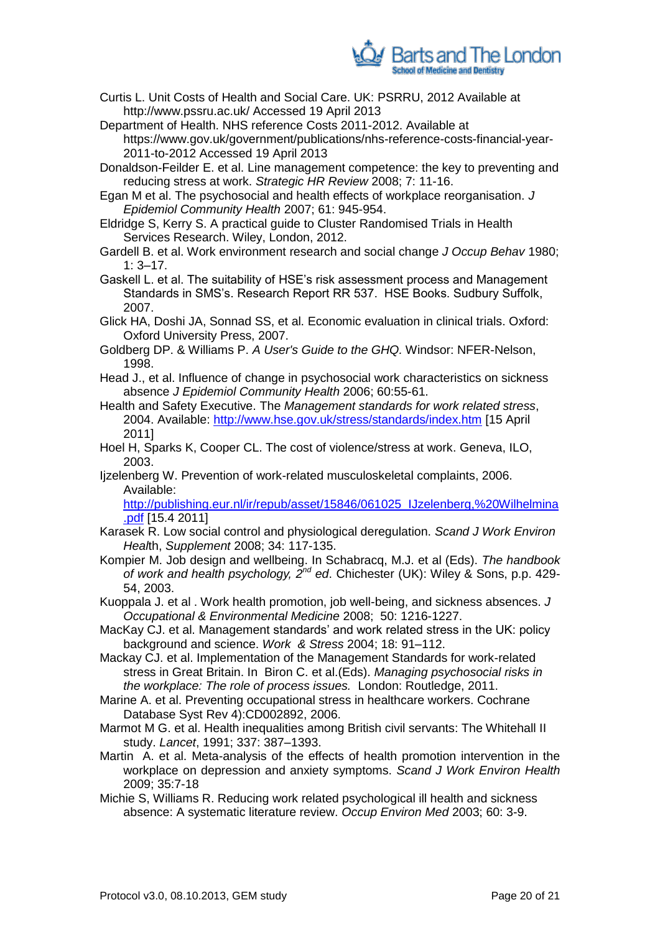

- Curtis L. Unit Costs of Health and Social Care. UK: PSRRU, 2012 Available at http://www.pssru.ac.uk/ Accessed 19 April 2013
- Department of Health. NHS reference Costs 2011-2012. Available at https://www.gov.uk/government/publications/nhs-reference-costs-financial-year-2011-to-2012 Accessed 19 April 2013
- Donaldson-Feilder E. et al. Line management competence: the key to preventing and reducing stress at work. *Strategic HR Review* 2008; 7: 11-16.
- Egan M et al. The psychosocial and health effects of workplace reorganisation. *J Epidemiol Community Health* 2007; 61: 945-954.
- Eldridge S, Kerry S. A practical guide to Cluster Randomised Trials in Health Services Research. Wiley, London, 2012.
- Gardell B. et al. Work environment research and social change *J Occup Behav* 1980;  $1: 3 - 17.$
- Gaskell L. et al. The suitability of HSE's risk assessment process and Management Standards in SMS's. Research Report RR 537. HSE Books. Sudbury Suffolk, 2007.
- Glick HA, Doshi JA, Sonnad SS, et al. Economic evaluation in clinical trials. Oxford: Oxford University Press, 2007.
- Goldberg DP. & Williams P. *A User's Guide to the GHQ.* Windsor: NFER-Nelson, 1998.
- Head J., et al. [Influence of change in psychosocial work characteristics on sickness](http://www.ncbi.nlm.nih.gov/pubmed/16361455)  [absence](http://www.ncbi.nlm.nih.gov/pubmed/16361455) *J Epidemiol Community Health* 2006; 60:55-61.
- Health and Safety Executive. The *Management standards for work related stress*, 2004. Available:<http://www.hse.gov.uk/stress/standards/index.htm> [15 April 2011]
- Hoel H, Sparks K, Cooper CL. The cost of violence/stress at work. Geneva, ILO, 2003.
- Ijzelenberg W. Prevention of work-related musculoskeletal complaints, 2006. Available:

[http://publishing.eur.nl/ir/repub/asset/15846/061025\\_IJzelenberg,%20Wilhelmina](http://publishing.eur.nl/ir/repub/asset/15846/061025_IJzelenberg,%20Wilhelmina.pdf) [.pdf](http://publishing.eur.nl/ir/repub/asset/15846/061025_IJzelenberg,%20Wilhelmina.pdf) [15.4 2011]

- Karasek R. Low social control and physiological deregulation. *Scand J Work Environ Heal*th, *Supplement* 2008; 34: 117-135.
- Kompier M. Job design and wellbeing. In Schabracq, M.J. et al (Eds). *The handbook of work and health psychology, 2nd ed*. Chichester (UK): Wiley & Sons, p.p. 429- 54, 2003.
- Kuoppala J. et al . Work health promotion, job well-being, and sickness absences. *J Occupational & Environmental Medicine* 2008; 50: 1216-1227.
- MacKay CJ. et al. Management standards' and work related stress in the UK: policy background and science. *Work & Stress* 2004; 18: 91–112.
- Mackay CJ. et al. Implementation of the Management Standards for work-related stress in Great Britain. In Biron C. et al.(Eds). *Managing psychosocial risks in the workplace: The role of process issues.* London: Routledge, 2011.
- Marine A. et al. Preventing occupational stress in healthcare workers. Cochrane Database Syst Rev 4):CD002892, 2006.
- Marmot M G. et al. Health inequalities among British civil servants: The Whitehall II study. *Lancet*, 1991; 337: 387–1393.
- Martin A. et al. Meta-analysis of the effects of health promotion intervention in the workplace on depression and anxiety symptoms. *Scand J Work Environ Health* 2009; 35:7-18
- Michie S, Williams R. Reducing work related psychological ill health and sickness absence: A systematic literature review. *Occup Environ Med* 2003; 60: 3-9.